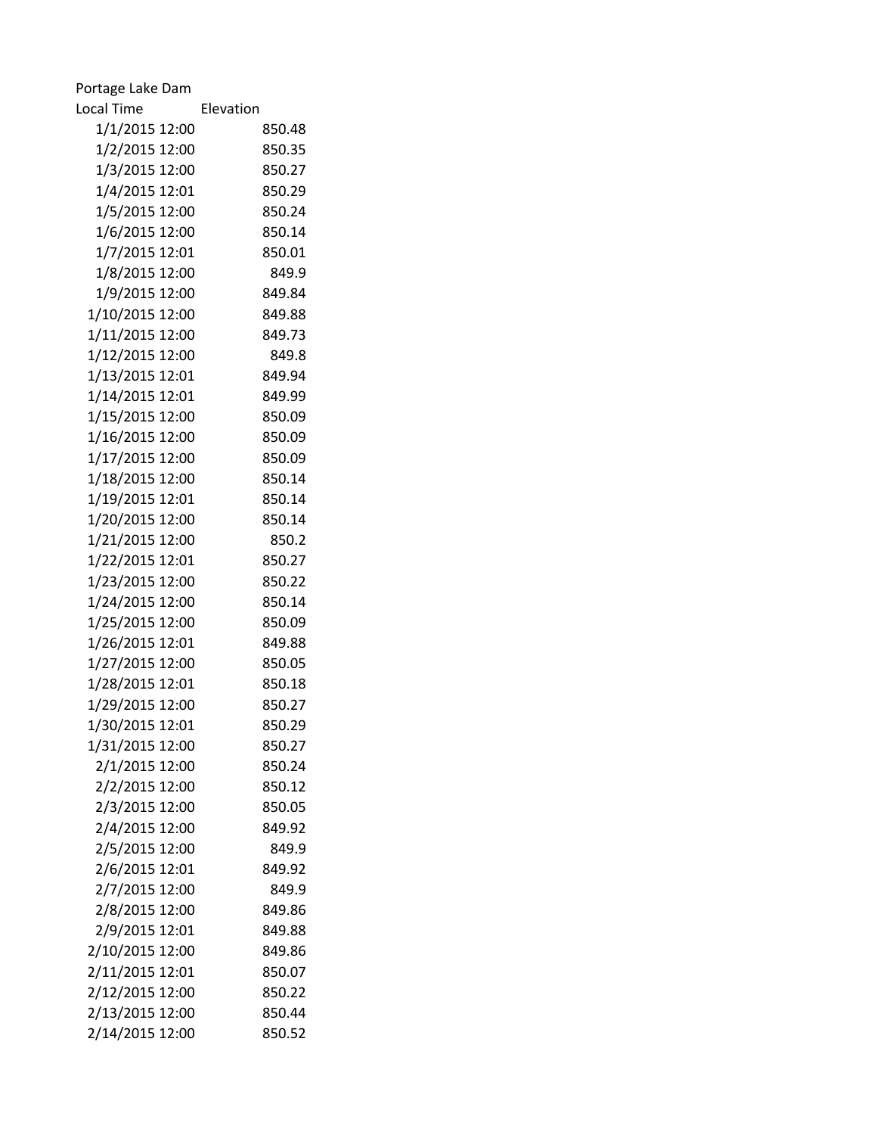| Portage Lake Dam  |           |
|-------------------|-----------|
| <b>Local Time</b> | Elevation |
| 1/1/2015 12:00    | 850.48    |
| 1/2/2015 12:00    | 850.35    |
| 1/3/2015 12:00    | 850.27    |
| 1/4/2015 12:01    | 850.29    |
| 1/5/2015 12:00    | 850.24    |
| 1/6/2015 12:00    | 850.14    |
| 1/7/2015 12:01    | 850.01    |
| 1/8/2015 12:00    | 849.9     |
| 1/9/2015 12:00    | 849.84    |
| 1/10/2015 12:00   | 849.88    |
| 1/11/2015 12:00   | 849.73    |
| 1/12/2015 12:00   | 849.8     |
| 1/13/2015 12:01   | 849.94    |
| 1/14/2015 12:01   | 849.99    |
| 1/15/2015 12:00   | 850.09    |
| 1/16/2015 12:00   | 850.09    |
| 1/17/2015 12:00   | 850.09    |
| 1/18/2015 12:00   | 850.14    |
| 1/19/2015 12:01   | 850.14    |
| 1/20/2015 12:00   | 850.14    |
| 1/21/2015 12:00   | 850.2     |
| 1/22/2015 12:01   | 850.27    |
| 1/23/2015 12:00   | 850.22    |
| 1/24/2015 12:00   | 850.14    |
| 1/25/2015 12:00   | 850.09    |
| 1/26/2015 12:01   | 849.88    |
| 1/27/2015 12:00   | 850.05    |
| 1/28/2015 12:01   | 850.18    |
| 1/29/2015 12:00   | 850.27    |
| 1/30/2015 12:01   | 850.29    |
| 1/31/2015 12:00   | 850.27    |
| 2/1/2015 12:00    | 850.24    |
| 2/2/2015 12:00    | 850.12    |
| 2/3/2015 12:00    | 850.05    |
| 2/4/2015 12:00    | 849.92    |
| 2/5/2015 12:00    | 849.9     |
| 2/6/2015 12:01    | 849.92    |
| 2/7/2015 12:00    | 849.9     |
| 2/8/2015 12:00    | 849.86    |
| 2/9/2015 12:01    | 849.88    |
| 2/10/2015 12:00   | 849.86    |
| 2/11/2015 12:01   | 850.07    |
| 2/12/2015 12:00   | 850.22    |
| 2/13/2015 12:00   | 850.44    |
| 2/14/2015 12:00   | 850.52    |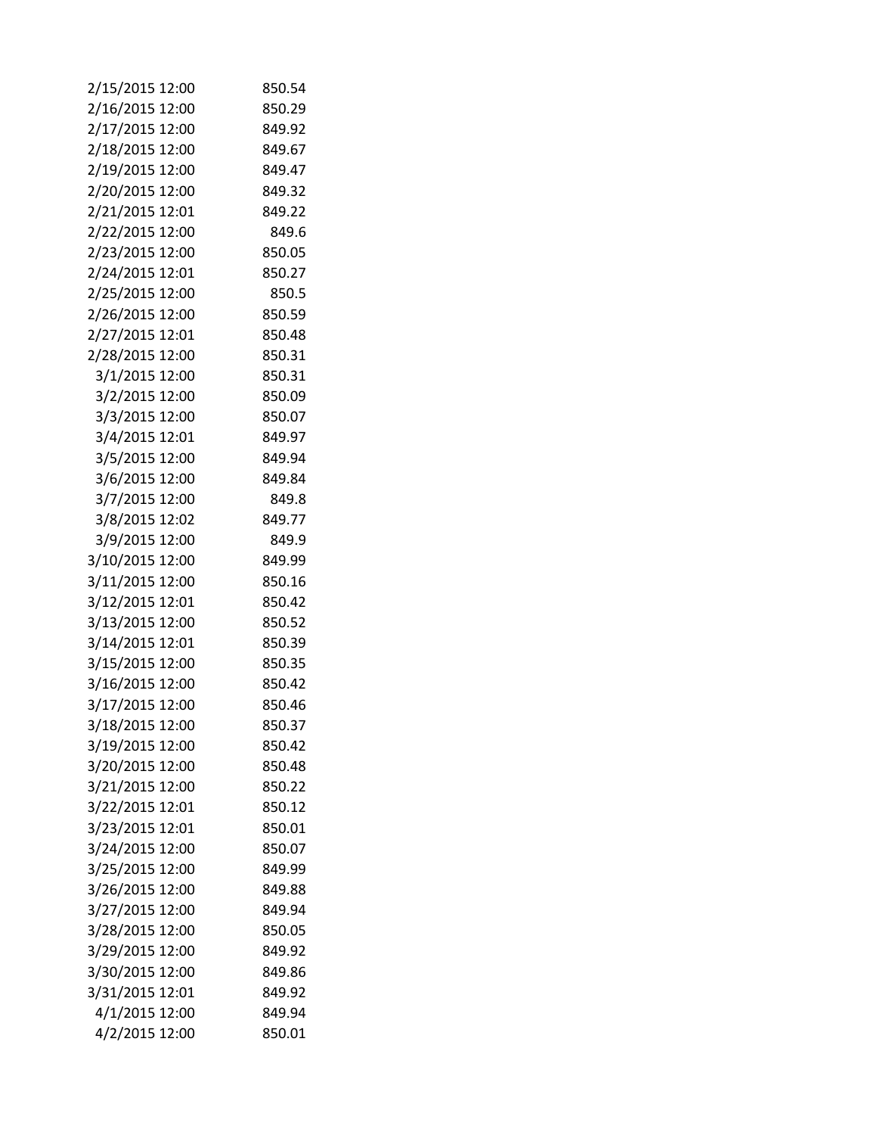| 2/15/2015 12:00 | 850.54 |
|-----------------|--------|
| 2/16/2015 12:00 | 850.29 |
| 2/17/2015 12:00 | 849.92 |
| 2/18/2015 12:00 | 849.67 |
| 2/19/2015 12:00 | 849.47 |
| 2/20/2015 12:00 | 849.32 |
| 2/21/2015 12:01 | 849.22 |
| 2/22/2015 12:00 | 849.6  |
| 2/23/2015 12:00 | 850.05 |
| 2/24/2015 12:01 | 850.27 |
| 2/25/2015 12:00 | 850.5  |
| 2/26/2015 12:00 | 850.59 |
| 2/27/2015 12:01 | 850.48 |
| 2/28/2015 12:00 | 850.31 |
| 3/1/2015 12:00  | 850.31 |
| 3/2/2015 12:00  | 850.09 |
| 3/3/2015 12:00  | 850.07 |
| 3/4/2015 12:01  | 849.97 |
| 3/5/2015 12:00  | 849.94 |
| 3/6/2015 12:00  | 849.84 |
| 3/7/2015 12:00  | 849.8  |
| 3/8/2015 12:02  | 849.77 |
| 3/9/2015 12:00  | 849.9  |
| 3/10/2015 12:00 | 849.99 |
| 3/11/2015 12:00 | 850.16 |
| 3/12/2015 12:01 | 850.42 |
| 3/13/2015 12:00 | 850.52 |
| 3/14/2015 12:01 | 850.39 |
| 3/15/2015 12:00 | 850.35 |
| 3/16/2015 12:00 | 850.42 |
| 3/17/2015 12:00 | 850.46 |
| 3/18/2015 12:00 | 850.37 |
| 3/19/2015 12:00 | 850.42 |
| 3/20/2015 12:00 | 850.48 |
| 3/21/2015 12:00 | 850.22 |
| 3/22/2015 12:01 | 850.12 |
| 3/23/2015 12:01 | 850.01 |
| 3/24/2015 12:00 | 850.07 |
| 3/25/2015 12:00 | 849.99 |
| 3/26/2015 12:00 | 849.88 |
| 3/27/2015 12:00 | 849.94 |
| 3/28/2015 12:00 | 850.05 |
| 3/29/2015 12:00 | 849.92 |
| 3/30/2015 12:00 | 849.86 |
| 3/31/2015 12:01 | 849.92 |
| 4/1/2015 12:00  | 849.94 |
| 4/2/2015 12:00  | 850.01 |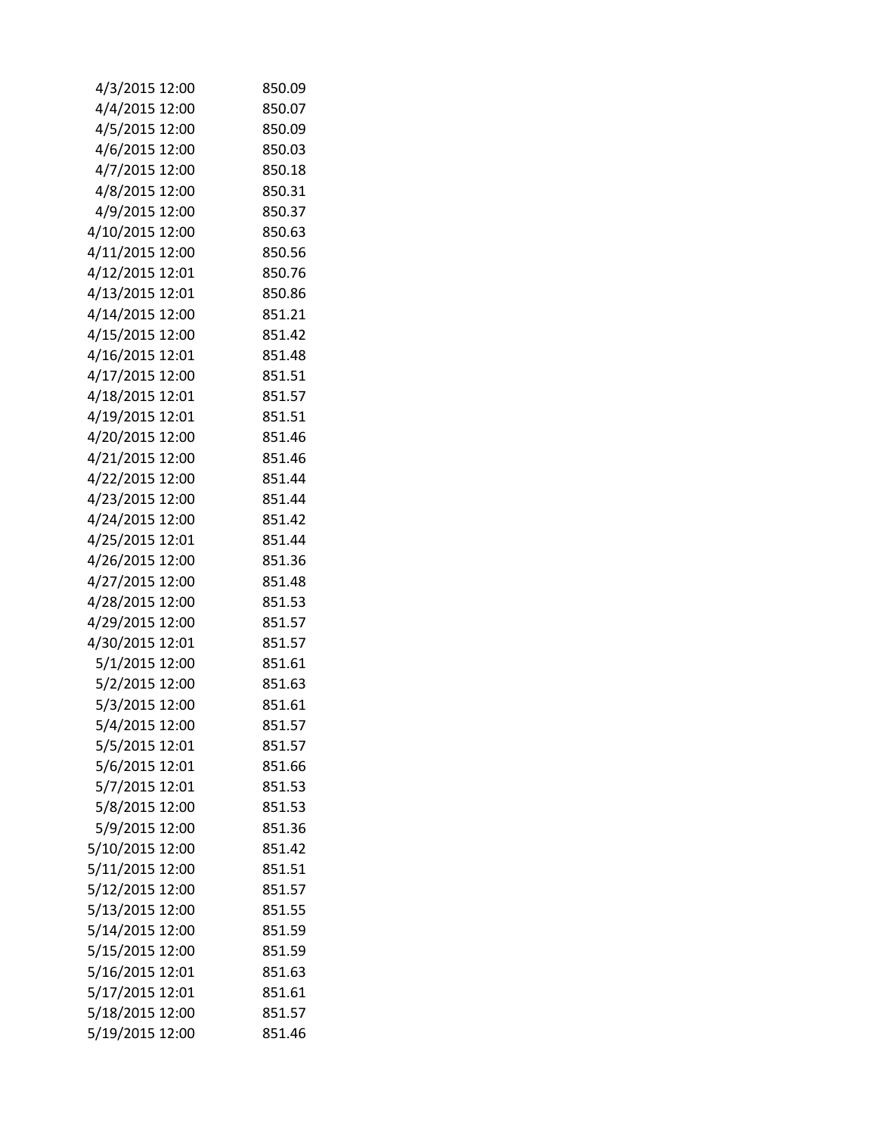| 4/3/2015 12:00  | 850.09 |
|-----------------|--------|
| 4/4/2015 12:00  | 850.07 |
| 4/5/2015 12:00  | 850.09 |
| 4/6/2015 12:00  | 850.03 |
| 4/7/2015 12:00  | 850.18 |
| 4/8/2015 12:00  | 850.31 |
| 4/9/2015 12:00  | 850.37 |
| 4/10/2015 12:00 | 850.63 |
| 4/11/2015 12:00 | 850.56 |
| 4/12/2015 12:01 | 850.76 |
| 4/13/2015 12:01 | 850.86 |
| 4/14/2015 12:00 | 851.21 |
| 4/15/2015 12:00 | 851.42 |
| 4/16/2015 12:01 | 851.48 |
| 4/17/2015 12:00 | 851.51 |
| 4/18/2015 12:01 | 851.57 |
| 4/19/2015 12:01 | 851.51 |
| 4/20/2015 12:00 | 851.46 |
| 4/21/2015 12:00 | 851.46 |
| 4/22/2015 12:00 | 851.44 |
| 4/23/2015 12:00 | 851.44 |
| 4/24/2015 12:00 | 851.42 |
| 4/25/2015 12:01 | 851.44 |
| 4/26/2015 12:00 | 851.36 |
| 4/27/2015 12:00 | 851.48 |
| 4/28/2015 12:00 | 851.53 |
| 4/29/2015 12:00 | 851.57 |
| 4/30/2015 12:01 | 851.57 |
| 5/1/2015 12:00  | 851.61 |
| 5/2/2015 12:00  | 851.63 |
| 5/3/2015 12:00  | 851.61 |
| 5/4/2015 12:00  | 851.57 |
| 5/5/2015 12:01  | 851.57 |
| 5/6/2015 12:01  | 851.66 |
| 5/7/2015 12:01  | 851.53 |
| 5/8/2015 12:00  | 851.53 |
| 5/9/2015 12:00  | 851.36 |
| 5/10/2015 12:00 | 851.42 |
| 5/11/2015 12:00 | 851.51 |
| 5/12/2015 12:00 | 851.57 |
| 5/13/2015 12:00 | 851.55 |
| 5/14/2015 12:00 | 851.59 |
| 5/15/2015 12:00 | 851.59 |
| 5/16/2015 12:01 | 851.63 |
| 5/17/2015 12:01 | 851.61 |
| 5/18/2015 12:00 | 851.57 |
| 5/19/2015 12:00 | 851.46 |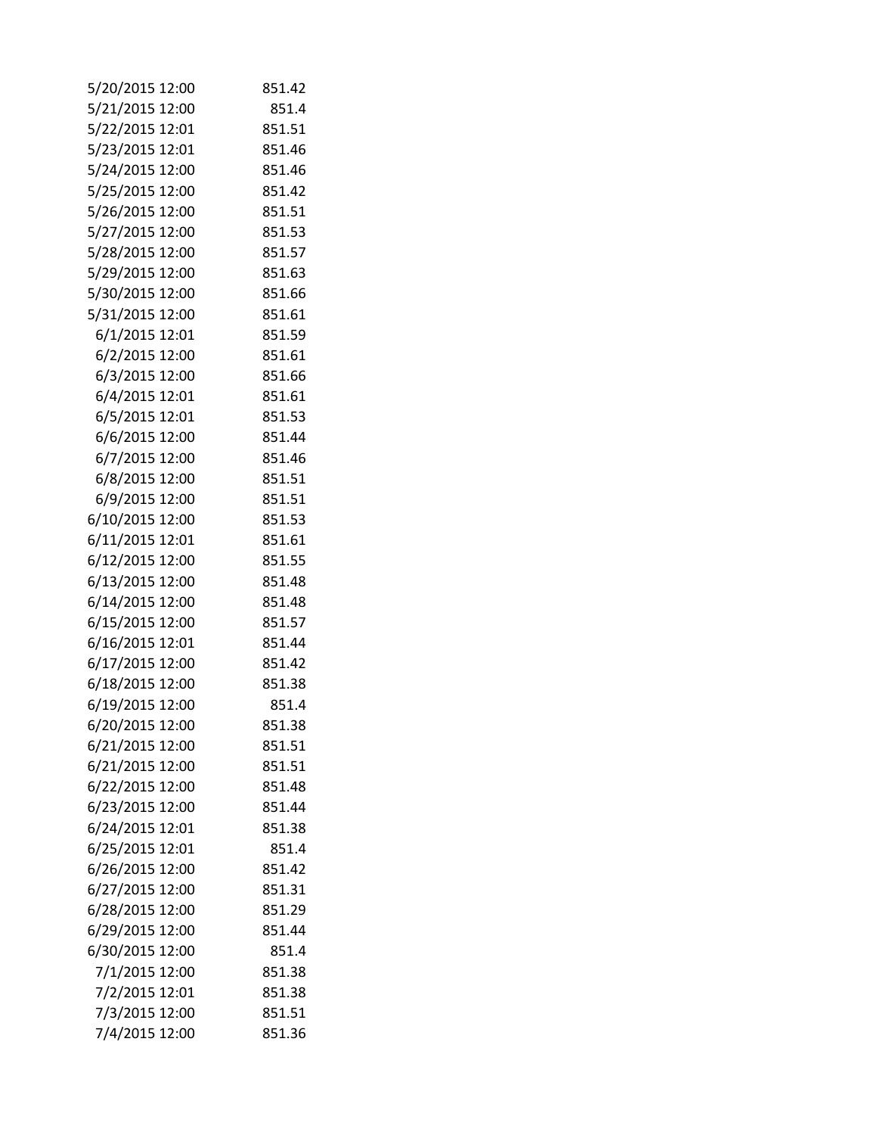| 5/20/2015 12:00 | 851.42 |
|-----------------|--------|
| 5/21/2015 12:00 | 851.4  |
| 5/22/2015 12:01 | 851.51 |
| 5/23/2015 12:01 | 851.46 |
| 5/24/2015 12:00 | 851.46 |
| 5/25/2015 12:00 | 851.42 |
| 5/26/2015 12:00 | 851.51 |
| 5/27/2015 12:00 | 851.53 |
| 5/28/2015 12:00 | 851.57 |
| 5/29/2015 12:00 | 851.63 |
| 5/30/2015 12:00 | 851.66 |
| 5/31/2015 12:00 | 851.61 |
| 6/1/2015 12:01  | 851.59 |
| 6/2/2015 12:00  | 851.61 |
| 6/3/2015 12:00  | 851.66 |
| 6/4/2015 12:01  | 851.61 |
| 6/5/2015 12:01  | 851.53 |
| 6/6/2015 12:00  | 851.44 |
| 6/7/2015 12:00  | 851.46 |
| 6/8/2015 12:00  | 851.51 |
| 6/9/2015 12:00  | 851.51 |
| 6/10/2015 12:00 | 851.53 |
| 6/11/2015 12:01 | 851.61 |
| 6/12/2015 12:00 | 851.55 |
| 6/13/2015 12:00 | 851.48 |
| 6/14/2015 12:00 | 851.48 |
| 6/15/2015 12:00 | 851.57 |
| 6/16/2015 12:01 | 851.44 |
| 6/17/2015 12:00 | 851.42 |
| 6/18/2015 12:00 | 851.38 |
| 6/19/2015 12:00 | 851.4  |
| 6/20/2015 12:00 | 851.38 |
| 6/21/2015 12:00 | 851.51 |
| 6/21/2015 12:00 | 851.51 |
| 6/22/2015 12:00 | 851.48 |
| 6/23/2015 12:00 | 851.44 |
| 6/24/2015 12:01 | 851.38 |
| 6/25/2015 12:01 | 851.4  |
| 6/26/2015 12:00 | 851.42 |
| 6/27/2015 12:00 | 851.31 |
| 6/28/2015 12:00 | 851.29 |
| 6/29/2015 12:00 | 851.44 |
| 6/30/2015 12:00 | 851.4  |
| 7/1/2015 12:00  | 851.38 |
| 7/2/2015 12:01  | 851.38 |
| 7/3/2015 12:00  | 851.51 |
| 7/4/2015 12:00  | 851.36 |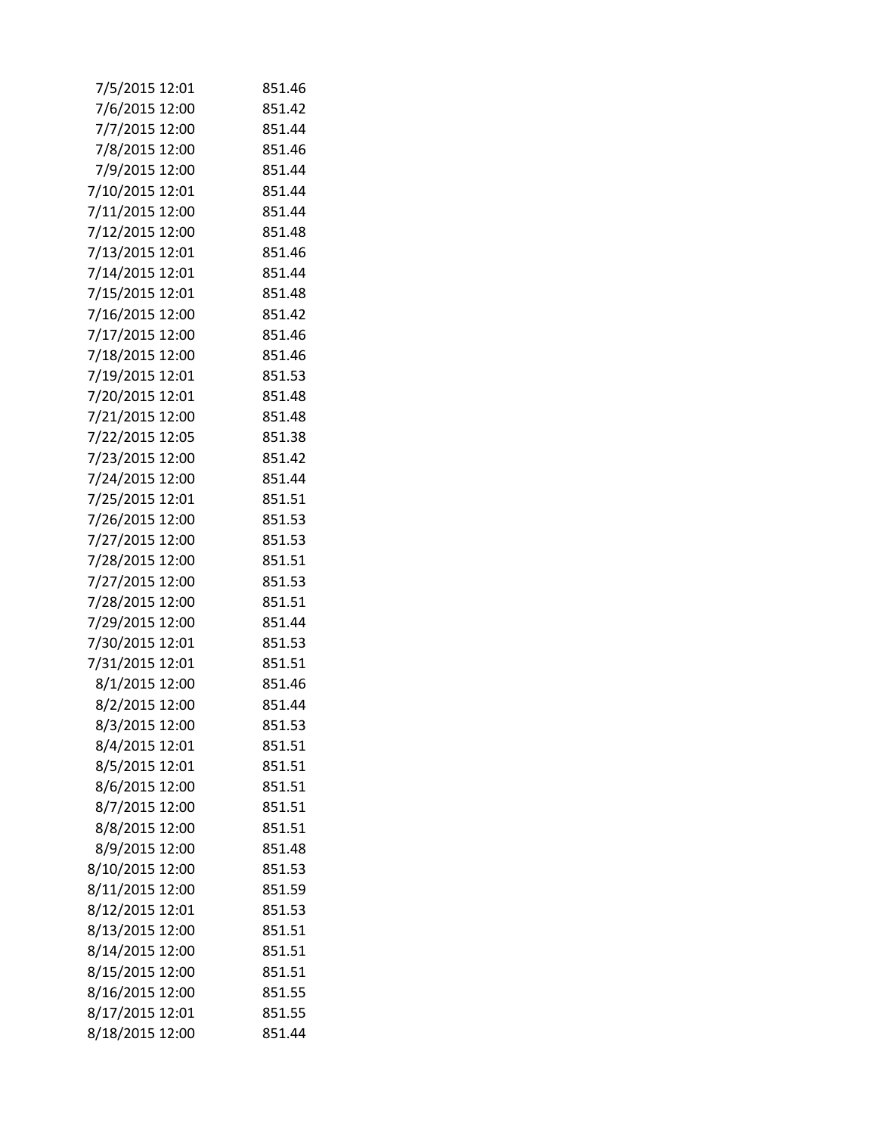| 7/5/2015 12:01  | 851.46 |
|-----------------|--------|
| 7/6/2015 12:00  | 851.42 |
| 7/7/2015 12:00  | 851.44 |
| 7/8/2015 12:00  | 851.46 |
| 7/9/2015 12:00  | 851.44 |
| 7/10/2015 12:01 | 851.44 |
| 7/11/2015 12:00 | 851.44 |
| 7/12/2015 12:00 | 851.48 |
| 7/13/2015 12:01 | 851.46 |
| 7/14/2015 12:01 | 851.44 |
| 7/15/2015 12:01 | 851.48 |
| 7/16/2015 12:00 | 851.42 |
| 7/17/2015 12:00 | 851.46 |
| 7/18/2015 12:00 | 851.46 |
| 7/19/2015 12:01 | 851.53 |
| 7/20/2015 12:01 | 851.48 |
| 7/21/2015 12:00 | 851.48 |
| 7/22/2015 12:05 | 851.38 |
| 7/23/2015 12:00 | 851.42 |
| 7/24/2015 12:00 | 851.44 |
| 7/25/2015 12:01 | 851.51 |
| 7/26/2015 12:00 | 851.53 |
| 7/27/2015 12:00 | 851.53 |
| 7/28/2015 12:00 | 851.51 |
| 7/27/2015 12:00 | 851.53 |
| 7/28/2015 12:00 | 851.51 |
| 7/29/2015 12:00 | 851.44 |
| 7/30/2015 12:01 | 851.53 |
| 7/31/2015 12:01 | 851.51 |
| 8/1/2015 12:00  | 851.46 |
| 8/2/2015 12:00  | 851.44 |
| 8/3/2015 12:00  | 851.53 |
| 8/4/2015 12:01  | 851.51 |
| 8/5/2015 12:01  | 851.51 |
| 8/6/2015 12:00  | 851.51 |
| 8/7/2015 12:00  | 851.51 |
| 8/8/2015 12:00  | 851.51 |
| 8/9/2015 12:00  | 851.48 |
| 8/10/2015 12:00 | 851.53 |
| 8/11/2015 12:00 | 851.59 |
| 8/12/2015 12:01 | 851.53 |
| 8/13/2015 12:00 | 851.51 |
| 8/14/2015 12:00 | 851.51 |
| 8/15/2015 12:00 | 851.51 |
| 8/16/2015 12:00 | 851.55 |
| 8/17/2015 12:01 | 851.55 |
| 8/18/2015 12:00 | 851.44 |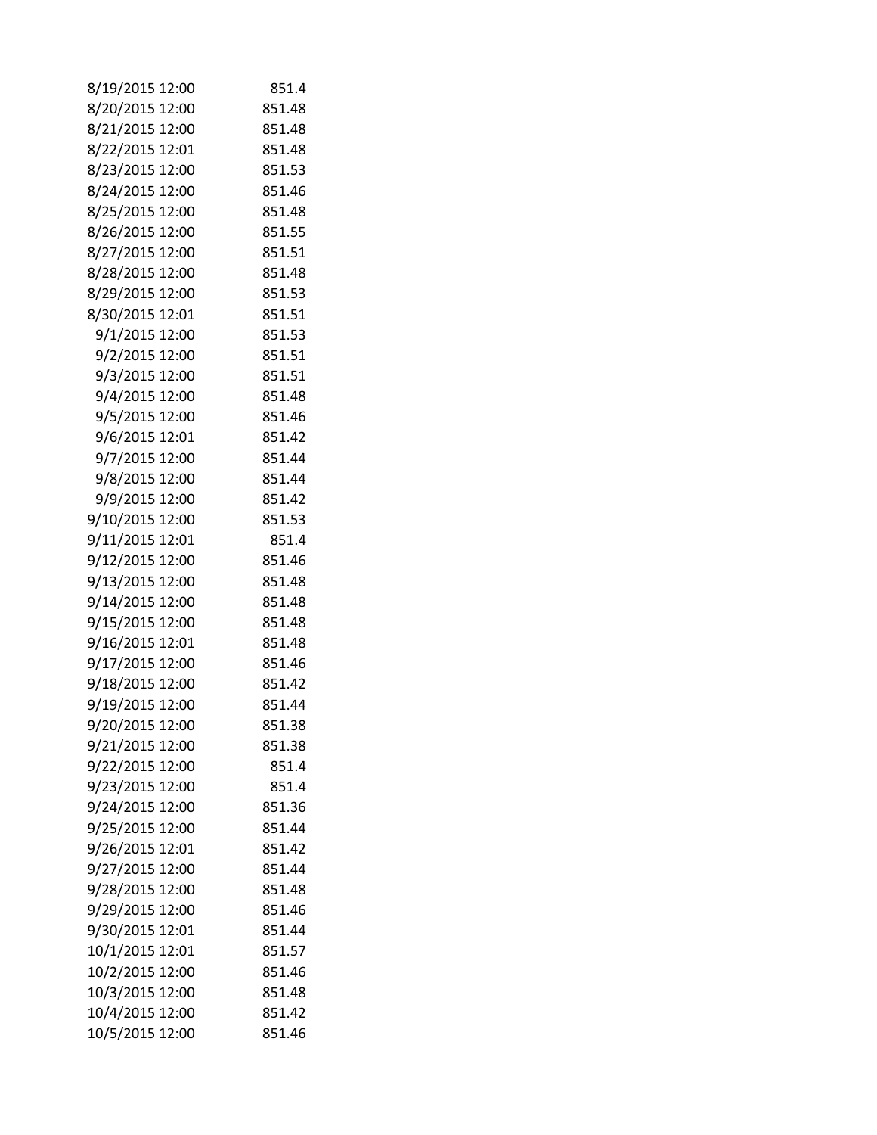| 8/19/2015 12:00 | 851.4  |
|-----------------|--------|
| 8/20/2015 12:00 | 851.48 |
| 8/21/2015 12:00 | 851.48 |
| 8/22/2015 12:01 | 851.48 |
| 8/23/2015 12:00 | 851.53 |
| 8/24/2015 12:00 | 851.46 |
| 8/25/2015 12:00 | 851.48 |
| 8/26/2015 12:00 | 851.55 |
| 8/27/2015 12:00 | 851.51 |
| 8/28/2015 12:00 | 851.48 |
| 8/29/2015 12:00 | 851.53 |
| 8/30/2015 12:01 | 851.51 |
| 9/1/2015 12:00  | 851.53 |
| 9/2/2015 12:00  | 851.51 |
| 9/3/2015 12:00  | 851.51 |
| 9/4/2015 12:00  | 851.48 |
| 9/5/2015 12:00  | 851.46 |
| 9/6/2015 12:01  | 851.42 |
| 9/7/2015 12:00  | 851.44 |
| 9/8/2015 12:00  | 851.44 |
| 9/9/2015 12:00  | 851.42 |
| 9/10/2015 12:00 | 851.53 |
| 9/11/2015 12:01 | 851.4  |
| 9/12/2015 12:00 | 851.46 |
| 9/13/2015 12:00 | 851.48 |
| 9/14/2015 12:00 | 851.48 |
| 9/15/2015 12:00 | 851.48 |
| 9/16/2015 12:01 | 851.48 |
| 9/17/2015 12:00 | 851.46 |
| 9/18/2015 12:00 | 851.42 |
| 9/19/2015 12:00 | 851.44 |
| 9/20/2015 12:00 | 851.38 |
| 9/21/2015 12:00 | 851.38 |
| 9/22/2015 12:00 | 851.4  |
| 9/23/2015 12:00 | 851.4  |
| 9/24/2015 12:00 | 851.36 |
| 9/25/2015 12:00 | 851.44 |
| 9/26/2015 12:01 | 851.42 |
| 9/27/2015 12:00 | 851.44 |
| 9/28/2015 12:00 | 851.48 |
| 9/29/2015 12:00 | 851.46 |
| 9/30/2015 12:01 | 851.44 |
| 10/1/2015 12:01 | 851.57 |
| 10/2/2015 12:00 | 851.46 |
| 10/3/2015 12:00 | 851.48 |
| 10/4/2015 12:00 | 851.42 |
| 10/5/2015 12:00 | 851.46 |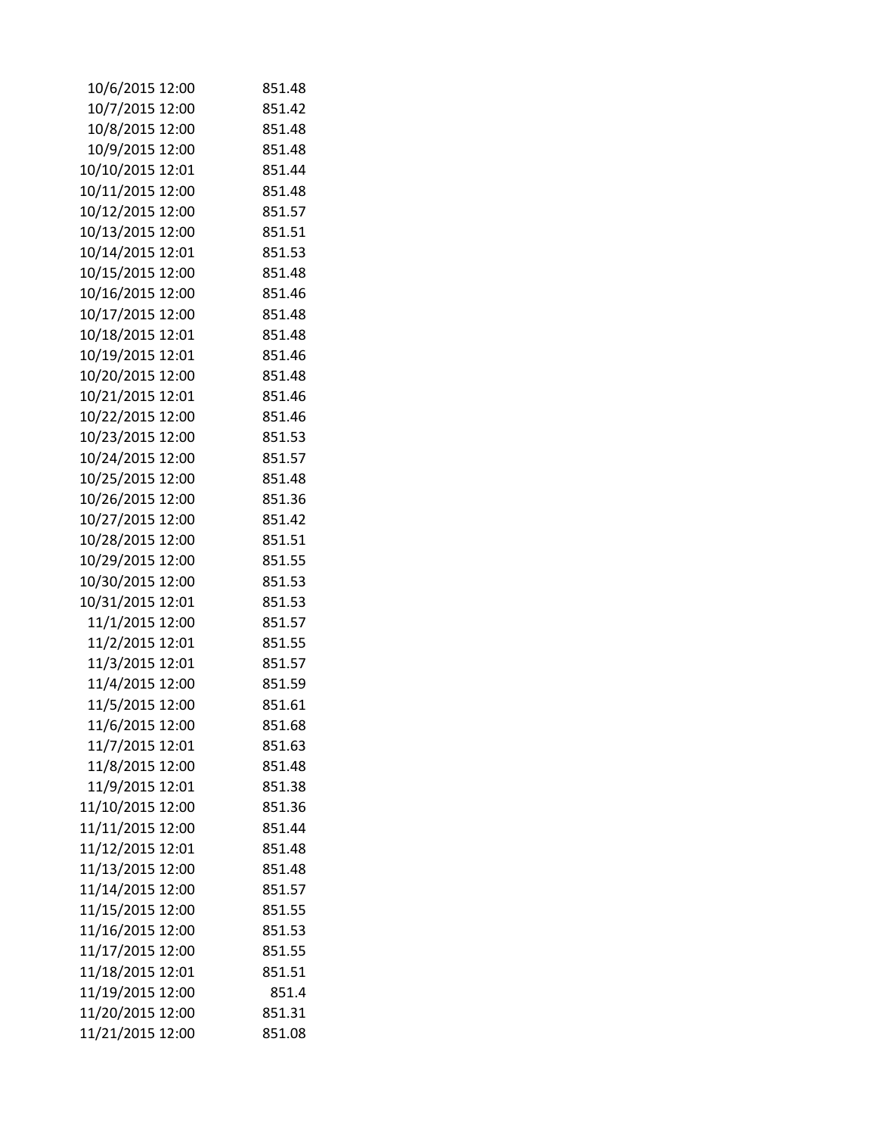| 10/6/2015 12:00  | 851.48           |
|------------------|------------------|
| 10/7/2015 12:00  | 851.42           |
| 10/8/2015 12:00  | 851.48           |
| 10/9/2015 12:00  | 851.48           |
| 10/10/2015 12:01 | 851.44           |
| 10/11/2015 12:00 | 851.48           |
| 10/12/2015 12:00 | 851.57           |
| 10/13/2015 12:00 | 851.51           |
| 10/14/2015 12:01 | 851.53           |
| 10/15/2015 12:00 | 851.48           |
| 10/16/2015 12:00 | 851.46           |
| 10/17/2015 12:00 | 851.48           |
| 10/18/2015 12:01 | 851.48           |
| 10/19/2015 12:01 | 851.46           |
| 10/20/2015 12:00 | 851.48           |
| 10/21/2015 12:01 | 851.46           |
| 10/22/2015 12:00 | 851.46           |
| 10/23/2015 12:00 | 851.53           |
| 10/24/2015 12:00 | 851.57           |
| 10/25/2015 12:00 | 851.48           |
| 10/26/2015 12:00 | 851.36           |
| 10/27/2015 12:00 | 851.42           |
| 10/28/2015 12:00 | 851.51           |
| 10/29/2015 12:00 | 851.55           |
| 10/30/2015 12:00 | 851.53           |
| 10/31/2015 12:01 | 851.53           |
| 11/1/2015 12:00  | 851.57           |
| 11/2/2015 12:01  | 851.55           |
| 11/3/2015 12:01  | 851.57           |
| 11/4/2015 12:00  | 851.59           |
| 11/5/2015 12:00  | 851.61           |
| 11/6/2015 12:00  | 851.68           |
| 11/7/2015 12:01  | 851.63           |
| 11/8/2015 12:00  | 851.48           |
| 11/9/2015 12:01  | 851.38           |
| 11/10/2015 12:00 | 851.36           |
| 11/11/2015 12:00 | 851.44           |
| 11/12/2015 12:01 | 851.48           |
| 11/13/2015 12:00 | 851.48           |
| 11/14/2015 12:00 | 851.57           |
| 11/15/2015 12:00 | 851.55           |
| 11/16/2015 12:00 | 851.53           |
| 11/17/2015 12:00 | 851.55<br>851.51 |
| 11/18/2015 12:01 | 851.4            |
| 11/19/2015 12:00 | 851.31           |
| 11/20/2015 12:00 |                  |
| 11/21/2015 12:00 | 851.08           |